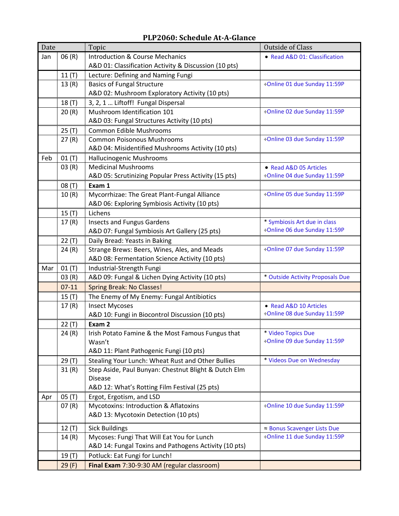| Date |         | Topic                                                 | <b>Outside of Class</b>          |
|------|---------|-------------------------------------------------------|----------------------------------|
| Jan  | 06(R)   | <b>Introduction &amp; Course Mechanics</b>            | • Read A&D 01: Classification    |
|      |         | A&D 01: Classification Activity & Discussion (10 pts) |                                  |
|      | 11(T)   | Lecture: Defining and Naming Fungi                    |                                  |
|      | 13(R)   | <b>Basics of Fungal Structure</b>                     | ÷Online 01 due Sunday 11:59P     |
|      |         | A&D 02: Mushroom Exploratory Activity (10 pts)        |                                  |
|      | 18(T)   | 3, 2, 1  Liftoff! Fungal Dispersal                    |                                  |
|      | 20(R)   | Mushroom Identification 101                           | ÷Online 02 due Sunday 11:59P     |
|      |         | A&D 03: Fungal Structures Activity (10 pts)           |                                  |
|      | 25(T)   | Common Edible Mushrooms                               |                                  |
|      | 27(R)   | <b>Common Poisonous Mushrooms</b>                     | ÷Online 03 due Sunday 11:59P     |
|      |         | A&D 04: Misidentified Mushrooms Activity (10 pts)     |                                  |
| Feb  | 01(T)   | Hallucinogenic Mushrooms                              |                                  |
|      | 03(R)   | <b>Medicinal Mushrooms</b>                            | • Read A&D 05 Articles           |
|      |         | A&D 05: Scrutinizing Popular Press Activity (15 pts)  | ÷Online 04 due Sunday 11:59P     |
|      | 08 (T)  | Exam 1                                                |                                  |
|      | 10(R)   | Mycorrhizae: The Great Plant-Fungal Alliance          | ÷Online 05 due Sunday 11:59P     |
|      |         | A&D 06: Exploring Symbiosis Activity (10 pts)         |                                  |
|      | 15(T)   | Lichens                                               |                                  |
|      | 17(R)   | <b>Insects and Fungus Gardens</b>                     | * Symbiosis Art due in class     |
|      |         | A&D 07: Fungal Symbiosis Art Gallery (25 pts)         | ÷Online 06 due Sunday 11:59P     |
|      | 22(T)   | Daily Bread: Yeasts in Baking                         |                                  |
|      | 24(R)   | Strange Brews: Beers, Wines, Ales, and Meads          | ÷Online 07 due Sunday 11:59P     |
|      |         | A&D 08: Fermentation Science Activity (10 pts)        |                                  |
| Mar  | 01(T)   | Industrial-Strength Fungi                             |                                  |
|      | 03(R)   | A&D 09: Fungal & Lichen Dying Activity (10 pts)       | * Outside Activity Proposals Due |
|      | $07-11$ | <b>Spring Break: No Classes!</b>                      |                                  |
|      | 15(T)   | The Enemy of My Enemy: Fungal Antibiotics             |                                  |
|      | 17(R)   | <b>Insect Mycoses</b>                                 | • Read A&D 10 Articles           |
|      |         | A&D 10: Fungi in Biocontrol Discussion (10 pts)       | ÷Online 08 due Sunday 11:59P     |
|      | 22(T)   | Exam 2                                                |                                  |
|      | 24(R)   | Irish Potato Famine & the Most Famous Fungus that     | * Video Topics Due               |
|      |         | Wasn't                                                | ÷Online 09 due Sunday 11:59P     |
|      |         | A&D 11: Plant Pathogenic Fungi (10 pts)               |                                  |
|      | 29 (T)  | Stealing Your Lunch: Wheat Rust and Other Bullies     | * Videos Due on Wednesday        |
|      | 31(R)   | Step Aside, Paul Bunyan: Chestnut Blight & Dutch Elm  |                                  |
|      |         | <b>Disease</b>                                        |                                  |
|      |         | A&D 12: What's Rotting Film Festival (25 pts)         |                                  |
| Apr  | 05(T)   | Ergot, Ergotism, and LSD                              |                                  |
|      | 07(R)   | Mycotoxins: Introduction & Aflatoxins                 | ÷Online 10 due Sunday 11:59P     |
|      |         | A&D 13: Mycotoxin Detection (10 pts)                  |                                  |
|      | 12(T)   | <b>Sick Buildings</b>                                 | ≈ Bonus Scavenger Lists Due      |
|      | 14(R)   | Mycoses: Fungi That Will Eat You for Lunch            | ÷Online 11 due Sunday 11:59P     |
|      |         | A&D 14: Fungal Toxins and Pathogens Activity (10 pts) |                                  |
|      | 19 (T)  | Potluck: Eat Fungi for Lunch!                         |                                  |
|      | 29(F)   | Final Exam 7:30-9:30 AM (regular classroom)           |                                  |

# **PLP2060: Schedule At-A-Glance**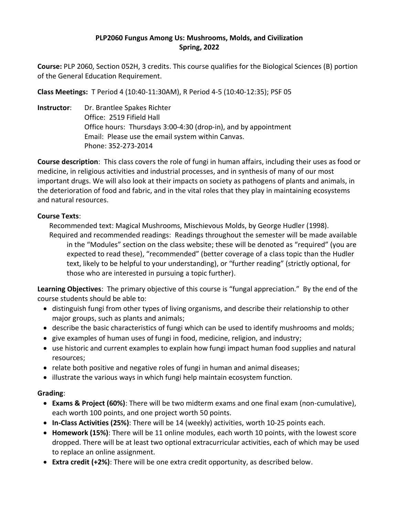### **PLP2060 Fungus Among Us: Mushrooms, Molds, and Civilization Spring, 2022**

**Course:** PLP 2060, Section 052H, 3 credits. This course qualifies for the Biological Sciences (B) portion of the General Education Requirement.

**Class Meetings:** T Period 4 (10:40-11:30AM), R Period 4-5 (10:40-12:35); PSF 05

**Instructor**: Dr. Brantlee Spakes Richter Office: 2519 Fifield Hall Office hours: Thursdays 3:00-4:30 (drop-in), and by appointment Email: Please use the email system within Canvas. Phone: 352-273-2014

**Course description**: This class covers the role of fungi in human affairs, including their uses as food or medicine, in religious activities and industrial processes, and in synthesis of many of our most important drugs. We will also look at their impacts on society as pathogens of plants and animals, in the deterioration of food and fabric, and in the vital roles that they play in maintaining ecosystems and natural resources.

### **Course Texts**:

Recommended text: Magical Mushrooms, Mischievous Molds, by George Hudler (1998).

Required and recommended readings: Readings throughout the semester will be made available in the "Modules" section on the class website; these will be denoted as "required" (you are expected to read these), "recommended" (better coverage of a class topic than the Hudler text, likely to be helpful to your understanding), or "further reading" (strictly optional, for those who are interested in pursuing a topic further).

**Learning Objectives**: The primary objective of this course is "fungal appreciation." By the end of the course students should be able to:

- distinguish fungi from other types of living organisms, and describe their relationship to other major groups, such as plants and animals;
- describe the basic characteristics of fungi which can be used to identify mushrooms and molds;
- give examples of human uses of fungi in food, medicine, religion, and industry;
- use historic and current examples to explain how fungi impact human food supplies and natural resources;
- relate both positive and negative roles of fungi in human and animal diseases;
- illustrate the various ways in which fungi help maintain ecosystem function.

### **Grading**:

- **Exams & Project (60%)**: There will be two midterm exams and one final exam (non-cumulative), each worth 100 points, and one project worth 50 points.
- **In-Class Activities (25%)**: There will be 14 (weekly) activities, worth 10-25 points each.
- **Homework (15%)**: There will be 11 online modules, each worth 10 points, with the lowest score dropped. There will be at least two optional extracurricular activities, each of which may be used to replace an online assignment.
- **Extra credit (+2%)**: There will be one extra credit opportunity, as described below.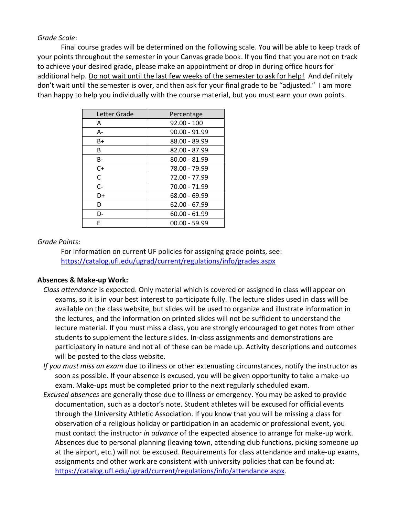*Grade Scale*:

Final course grades will be determined on the following scale. You will be able to keep track of your points throughout the semester in your Canvas grade book. If you find that you are not on track to achieve your desired grade, please make an appointment or drop in during office hours for additional help. Do not wait until the last few weeks of the semester to ask for help! And definitely don't wait until the semester is over, and then ask for your final grade to be "adjusted." I am more than happy to help you individually with the course material, but you must earn your own points.

| Letter Grade | Percentage      |
|--------------|-----------------|
| A            | $92.00 - 100$   |
| А-           | $90.00 - 91.99$ |
| $B+$         | 88.00 - 89.99   |
| B            | 82.00 - 87.99   |
| B-           | 80.00 - 81.99   |
| $C+$         | 78.00 - 79.99   |
| C            | 72.00 - 77.99   |
| $C -$        | 70.00 - 71.99   |
| D+           | 68.00 - 69.99   |
| D            | $62.00 - 67.99$ |
| D-           | $60.00 - 61.99$ |
| F            | $00.00 - 59.99$ |

#### *Grade Points*:

For information on current UF policies for assigning grade points, see: <https://catalog.ufl.edu/ugrad/current/regulations/info/grades.aspx>

#### **Absences & Make-up Work:**

- *Class attendance* is expected. Only material which is covered or assigned in class will appear on exams, so it is in your best interest to participate fully. The lecture slides used in class will be available on the class website, but slides will be used to organize and illustrate information in the lectures, and the information on printed slides will not be sufficient to understand the lecture material. If you must miss a class, you are strongly encouraged to get notes from other students to supplement the lecture slides. In-class assignments and demonstrations are participatory in nature and not all of these can be made up. Activity descriptions and outcomes will be posted to the class website.
- *If you must miss an exam* due to illness or other extenuating circumstances, notify the instructor as soon as possible. If your absence is excused, you will be given opportunity to take a make-up exam. Make-ups must be completed prior to the next regularly scheduled exam.
- *Excused absences* are generally those due to illness or emergency. You may be asked to provide documentation, such as a doctor's note. Student athletes will be excused for official events through the University Athletic Association. If you know that you will be missing a class for observation of a religious holiday or participation in an academic or professional event, you must contact the instructor *in advance* of the expected absence to arrange for make-up work. Absences due to personal planning (leaving town, attending club functions, picking someone up at the airport, etc.) will not be excused. Requirements for class attendance and make-up exams, assignments and other work are consistent with university policies that can be found at: [https://catalog.ufl.edu/ugrad/current/regulations/info/attendance.aspx.](https://catalog.ufl.edu/ugrad/current/regulations/info/attendance.aspx)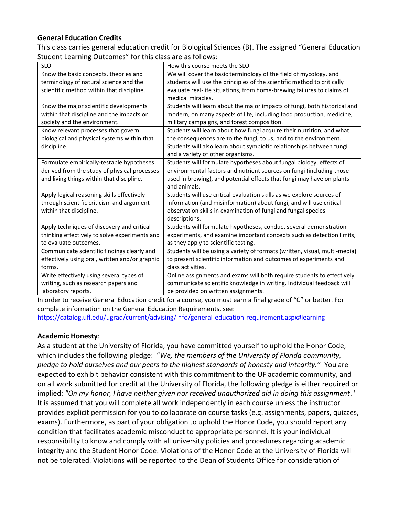## **General Education Credits**

This class carries general education credit for Biological Sciences (B). The assigned "General Education Student Learning Outcomes" for this class are as follows:

| <b>SLO</b>                                     | How this course meets the SLO                                              |
|------------------------------------------------|----------------------------------------------------------------------------|
| Know the basic concepts, theories and          | We will cover the basic terminology of the field of mycology, and          |
| terminology of natural science and the         | students will use the principles of the scientific method to critically    |
| scientific method within that discipline.      | evaluate real-life situations, from home-brewing failures to claims of     |
|                                                | medical miracles.                                                          |
| Know the major scientific developments         | Students will learn about the major impacts of fungi, both historical and  |
| within that discipline and the impacts on      | modern, on many aspects of life, including food production, medicine,      |
| society and the environment.                   | military campaigns, and forest composition.                                |
| Know relevant processes that govern            | Students will learn about how fungi acquire their nutrition, and what      |
| biological and physical systems within that    | the consequences are to the fungi, to us, and to the environment.          |
| discipline.                                    | Students will also learn about symbiotic relationships between fungi       |
|                                                | and a variety of other organisms.                                          |
| Formulate empirically-testable hypotheses      | Students will formulate hypotheses about fungal biology, effects of        |
| derived from the study of physical processes   | environmental factors and nutrient sources on fungi (including those       |
| and living things within that discipline.      | used in brewing), and potential effects that fungi may have on plants      |
|                                                | and animals.                                                               |
| Apply logical reasoning skills effectively     | Students will use critical evaluation skills as we explore sources of      |
| through scientific criticism and argument      | information (and misinformation) about fungi, and will use critical        |
| within that discipline.                        | observation skills in examination of fungi and fungal species              |
|                                                | descriptions.                                                              |
| Apply techniques of discovery and critical     | Students will formulate hypotheses, conduct several demonstration          |
| thinking effectively to solve experiments and  | experiments, and examine important concepts such as detection limits,      |
| to evaluate outcomes.                          | as they apply to scientific testing.                                       |
| Communicate scientific findings clearly and    | Students will be using a variety of formats (written, visual, multi-media) |
| effectively using oral, written and/or graphic | to present scientific information and outcomes of experiments and          |
| forms.                                         | class activities.                                                          |
| Write effectively using several types of       | Online assignments and exams will both require students to effectively     |
| writing, such as research papers and           | communicate scientific knowledge in writing. Individual feedback will      |
| laboratory reports.                            | be provided on written assignments.                                        |

In order to receive General Education credit for a course, you must earn a final grade of "C" or better. For complete information on the General Education Requirements, see:

<https://catalog.ufl.edu/ugrad/current/advising/info/general-education-requirement.aspx#learning>

#### **Academic Honesty**:

As a student at the University of Florida, you have committed yourself to uphold the Honor Code, which includes the following pledge: "*We, the members of the University of Florida community, pledge to hold ourselves and our peers to the highest standards of honesty and integrity."* You are expected to exhibit behavior consistent with this commitment to the UF academic community, and on all work submitted for credit at the University of Florida, the following pledge is either required or implied: *"On my honor, I have neither given nor received unauthorized aid in doing this assignment*." It is assumed that you will complete all work independently in each course unless the instructor provides explicit permission for you to collaborate on course tasks (e.g. assignments, papers, quizzes, exams). Furthermore, as part of your obligation to uphold the Honor Code, you should report any condition that facilitates academic misconduct to appropriate personnel. It is your individual responsibility to know and comply with all university policies and procedures regarding academic integrity and the Student Honor Code. Violations of the Honor Code at the University of Florida will not be tolerated. Violations will be reported to the Dean of Students Office for consideration of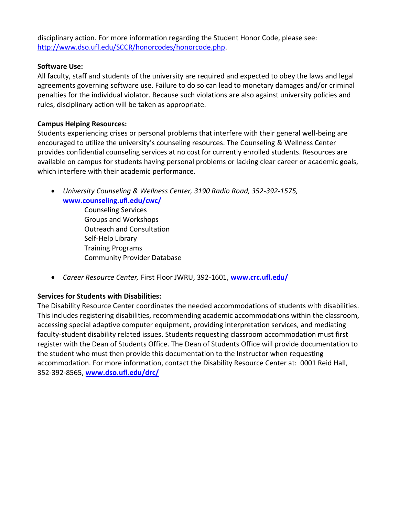disciplinary action. For more information regarding the Student Honor Code, please see: [http://www.dso.ufl.edu/SCCR/honorcodes/honorcode.php.](http://www.dso.ufl.edu/SCCR/honorcodes/honorcode.php)

#### **Software Use:**

All faculty, staff and students of the university are required and expected to obey the laws and legal agreements governing software use. Failure to do so can lead to monetary damages and/or criminal penalties for the individual violator. Because such violations are also against university policies and rules, disciplinary action will be taken as appropriate.

### **Campus Helping Resources:**

Students experiencing crises or personal problems that interfere with their general well-being are encouraged to utilize the university's counseling resources. The Counseling & Wellness Center provides confidential counseling services at no cost for currently enrolled students. Resources are available on campus for students having personal problems or lacking clear career or academic goals, which interfere with their academic performance.

• *University Counseling & Wellness Center, 3190 Radio Road, 352-392-1575,* **[www.counseling.ufl.edu/cwc/](http://www.counseling.ufl.edu/cwc/)**

> Counseling Services Groups and Workshops Outreach and Consultation Self-Help Library Training Programs Community Provider Database

• *Career Resource Center,* First Floor JWRU, 392-1601, **[www.crc.ufl.edu/](http://www.crc.ufl.edu/)**

### **Services for Students with Disabilities:**

The Disability Resource Center coordinates the needed accommodations of students with disabilities. This includes registering disabilities, recommending academic accommodations within the classroom, accessing special adaptive computer equipment, providing interpretation services, and mediating faculty-student disability related issues. Students requesting classroom accommodation must first register with the Dean of Students Office. The Dean of Students Office will provide documentation to the student who must then provide this documentation to the Instructor when requesting accommodation. For more information, contact the Disability Resource Center at: 0001 Reid Hall, 352-392-8565, **[www.dso.ufl.edu/drc/](http://www.dso.ufl.edu/drc/)**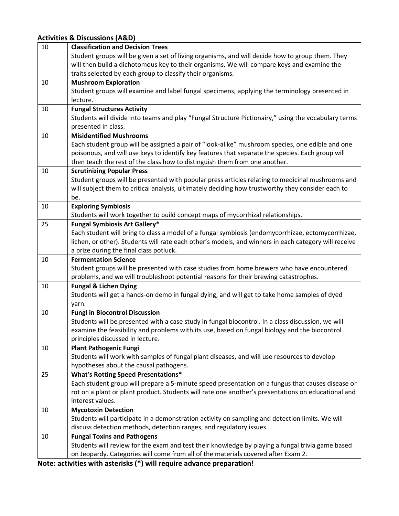# **Activities & Discussions (A&D)**

**Note: activities with asterisks (\*) will require advance preparation!**